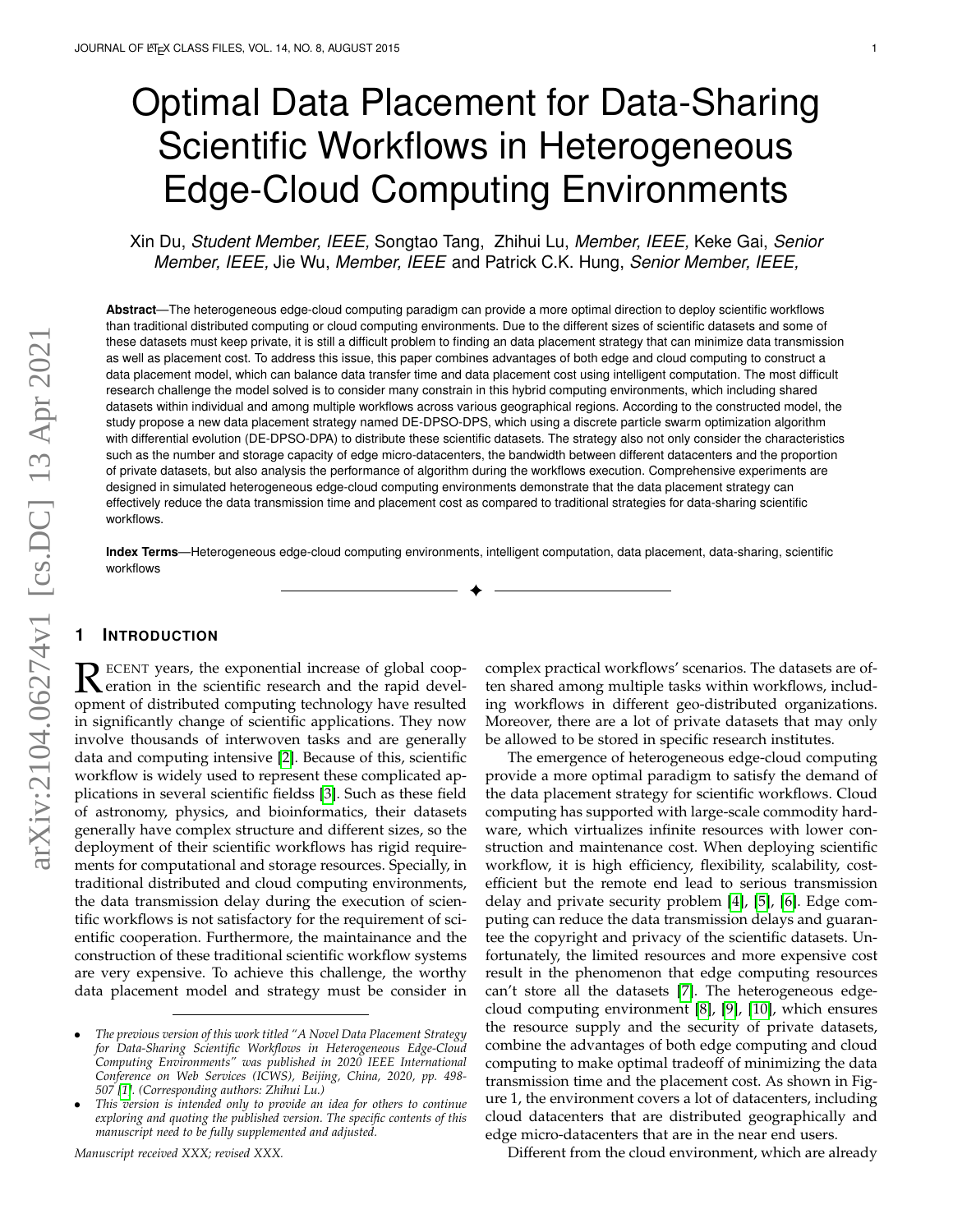# Optimal Data Placement for Data-Sharing Scientific Workflows in Heterogeneous Edge-Cloud Computing Environments

Xin Du, *Student Member, IEEE,* Songtao Tang, Zhihui Lu, *Member, IEEE,* Keke Gai, *Senior Member, IEEE,* Jie Wu, *Member, IEEE* and Patrick C.K. Hung, *Senior Member, IEEE,*

**Abstract**—The heterogeneous edge-cloud computing paradigm can provide a more optimal direction to deploy scientific workflows than traditional distributed computing or cloud computing environments. Due to the different sizes of scientific datasets and some of these datasets must keep private, it is still a difficult problem to finding an data placement strategy that can minimize data transmission as well as placement cost. To address this issue, this paper combines advantages of both edge and cloud computing to construct a data placement model, which can balance data transfer time and data placement cost using intelligent computation. The most difficult research challenge the model solved is to consider many constrain in this hybrid computing environments, which including shared datasets within individual and among multiple workflows across various geographical regions. According to the constructed model, the study propose a new data placement strategy named DE-DPSO-DPS, which using a discrete particle swarm optimization algorithm with differential evolution (DE-DPSO-DPA) to distribute these scientific datasets. The strategy also not only consider the characteristics such as the number and storage capacity of edge micro-datacenters, the bandwidth between different datacenters and the proportion of private datasets, but also analysis the performance of algorithm during the workflows execution. Comprehensive experiments are designed in simulated heterogeneous edge-cloud computing environments demonstrate that the data placement strategy can effectively reduce the data transmission time and placement cost as compared to traditional strategies for data-sharing scientific workflows.

**Index Terms**—Heterogeneous edge-cloud computing environments, intelligent computation, data placement, data-sharing, scientific workflows

✦

## **1 INTRODUCTION**

R ECENT years, the exponential increase of global coop-<br>eration in the scientific research and the rapid devel-<br>compart of distributed computing technology have resulted eration in the scientific research and the rapid development of distributed computing technology have resulted in significantly change of scientific applications. They now involve thousands of interwoven tasks and are generally data and computing intensive [\[2\]](#page-10-0). Because of this, scientific workflow is widely used to represent these complicated applications in several scientific fieldss [\[3\]](#page-10-1). Such as these field of astronomy, physics, and bioinformatics, their datasets generally have complex structure and different sizes, so the deployment of their scientific workflows has rigid requirements for computational and storage resources. Specially, in traditional distributed and cloud computing environments, the data transmission delay during the execution of scientific workflows is not satisfactory for the requirement of scientific cooperation. Furthermore, the maintainance and the construction of these traditional scientific workflow systems are very expensive. To achieve this challenge, the worthy data placement model and strategy must be consider in

*Manuscript received XXX; revised XXX.*

complex practical workflows' scenarios. The datasets are often shared among multiple tasks within workflows, including workflows in different geo-distributed organizations. Moreover, there are a lot of private datasets that may only be allowed to be stored in specific research institutes.

The emergence of heterogeneous edge-cloud computing provide a more optimal paradigm to satisfy the demand of the data placement strategy for scientific workflows. Cloud computing has supported with large-scale commodity hardware, which virtualizes infinite resources with lower construction and maintenance cost. When deploying scientific workflow, it is high efficiency, flexibility, scalability, costefficient but the remote end lead to serious transmission delay and private security problem [\[4\]](#page-10-3), [\[5\]](#page-10-4), [\[6\]](#page-10-5). Edge computing can reduce the data transmission delays and guarantee the copyright and privacy of the scientific datasets. Unfortunately, the limited resources and more expensive cost result in the phenomenon that edge computing resources can't store all the datasets [\[7\]](#page-10-6). The heterogeneous edgecloud computing environment [\[8\]](#page-10-7), [\[9\]](#page-10-8), [\[10\]](#page-10-9), which ensures the resource supply and the security of private datasets, combine the advantages of both edge computing and cloud computing to make optimal tradeoff of minimizing the data transmission time and the placement cost. As shown in Figure 1, the environment covers a lot of datacenters, including cloud datacenters that are distributed geographically and edge micro-datacenters that are in the near end users.

Different from the cloud environment, which are already

<sup>•</sup> *The previous version of this work titled "A Novel Data Placement Strategy for Data-Sharing Scientific Workflows in Heterogeneous Edge-Cloud Computing Environments" was published in 2020 IEEE International Conference on Web Services (ICWS), Beijing, China, 2020, pp. 498- 507 [\[1\]](#page-10-2). (Corresponding authors: Zhihui Lu.)*

<sup>•</sup> *This version is intended only to provide an idea for others to continue exploring and quoting the published version. The specific contents of this manuscript need to be fully supplemented and adjusted.*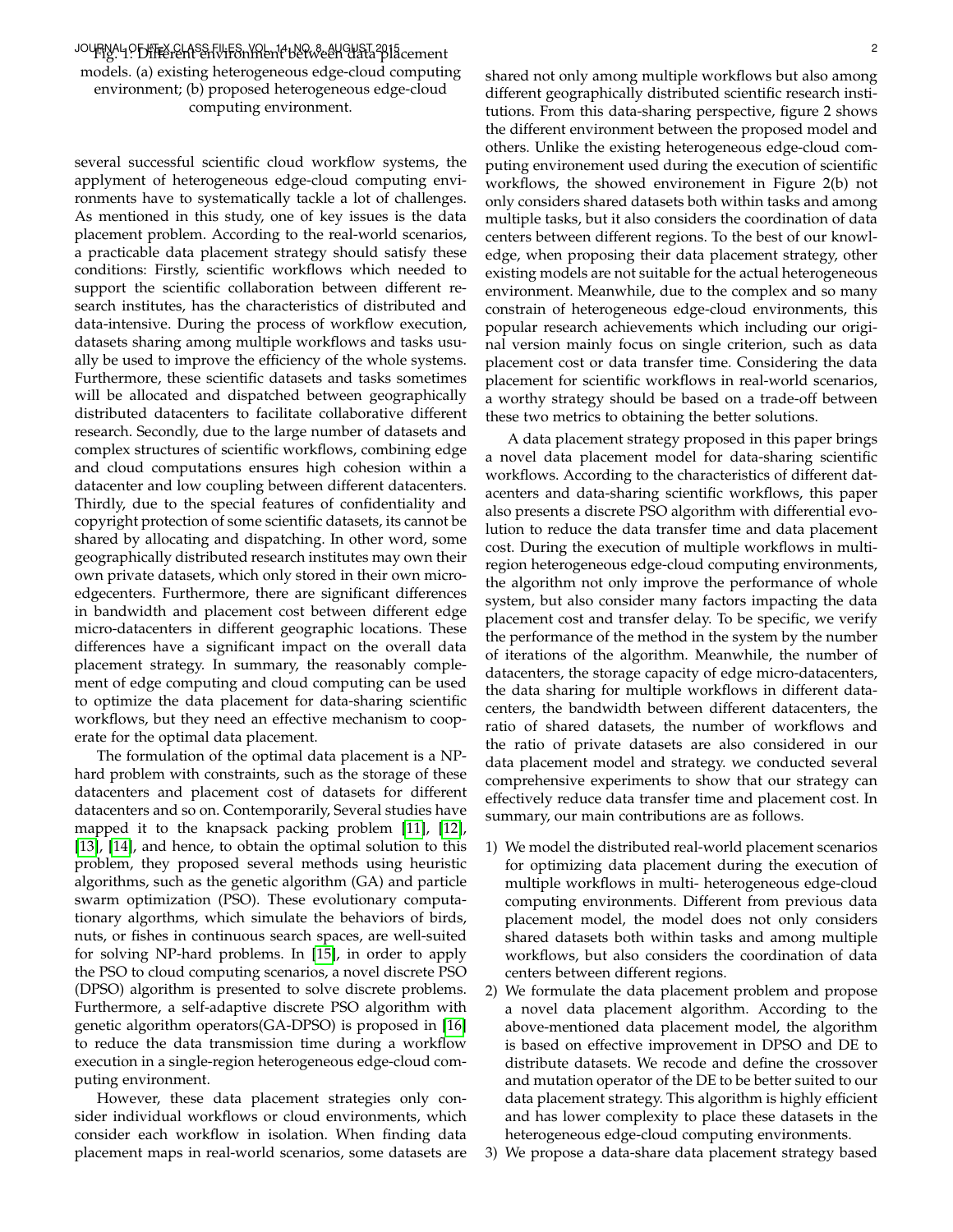## JOUFNAL OF LIFE CHASS FUITS NYREN PUSSE PLACES TO LATE COMMUNIST AND COMMUNIST PLACE COMMUNIST PLACES OF LATE O models. (a) existing heterogeneous edge-cloud computing environment; (b) proposed heterogeneous edge-cloud computing environment.

several successful scientific cloud workflow systems, the applyment of heterogeneous edge-cloud computing environments have to systematically tackle a lot of challenges. As mentioned in this study, one of key issues is the data placement problem. According to the real-world scenarios, a practicable data placement strategy should satisfy these conditions: Firstly, scientific workflows which needed to support the scientific collaboration between different research institutes, has the characteristics of distributed and data-intensive. During the process of workflow execution, datasets sharing among multiple workflows and tasks usually be used to improve the efficiency of the whole systems. Furthermore, these scientific datasets and tasks sometimes will be allocated and dispatched between geographically distributed datacenters to facilitate collaborative different research. Secondly, due to the large number of datasets and complex structures of scientific workflows, combining edge and cloud computations ensures high cohesion within a datacenter and low coupling between different datacenters. Thirdly, due to the special features of confidentiality and copyright protection of some scientific datasets, its cannot be shared by allocating and dispatching. In other word, some geographically distributed research institutes may own their own private datasets, which only stored in their own microedgecenters. Furthermore, there are significant differences in bandwidth and placement cost between different edge micro-datacenters in different geographic locations. These differences have a significant impact on the overall data placement strategy. In summary, the reasonably complement of edge computing and cloud computing can be used to optimize the data placement for data-sharing scientific workflows, but they need an effective mechanism to cooperate for the optimal data placement.

The formulation of the optimal data placement is a NPhard problem with constraints, such as the storage of these datacenters and placement cost of datasets for different datacenters and so on. Contemporarily, Several studies have mapped it to the knapsack packing problem [\[11\]](#page-10-10), [\[12\]](#page-10-11), [\[13\]](#page-10-12), [\[14\]](#page-10-13), and hence, to obtain the optimal solution to this problem, they proposed several methods using heuristic algorithms, such as the genetic algorithm (GA) and particle swarm optimization (PSO). These evolutionary computationary algorthms, which simulate the behaviors of birds, nuts, or fishes in continuous search spaces, are well-suited for solving NP-hard problems. In [\[15\]](#page-10-14), in order to apply the PSO to cloud computing scenarios, a novel discrete PSO (DPSO) algorithm is presented to solve discrete problems. Furthermore, a self-adaptive discrete PSO algorithm with genetic algorithm operators(GA-DPSO) is proposed in [\[16\]](#page-10-15) to reduce the data transmission time during a workflow execution in a single-region heterogeneous edge-cloud computing environment.

However, these data placement strategies only consider individual workflows or cloud environments, which consider each workflow in isolation. When finding data placement maps in real-world scenarios, some datasets are shared not only among multiple workflows but also among different geographically distributed scientific research institutions. From this data-sharing perspective, figure 2 shows the different environment between the proposed model and others. Unlike the existing heterogeneous edge-cloud computing environement used during the execution of scientific workflows, the showed environement in Figure 2(b) not only considers shared datasets both within tasks and among multiple tasks, but it also considers the coordination of data centers between different regions. To the best of our knowledge, when proposing their data placement strategy, other existing models are not suitable for the actual heterogeneous environment. Meanwhile, due to the complex and so many constrain of heterogeneous edge-cloud environments, this popular research achievements which including our original version mainly focus on single criterion, such as data placement cost or data transfer time. Considering the data placement for scientific workflows in real-world scenarios, a worthy strategy should be based on a trade-off between these two metrics to obtaining the better solutions.

A data placement strategy proposed in this paper brings a novel data placement model for data-sharing scientific workflows. According to the characteristics of different datacenters and data-sharing scientific workflows, this paper also presents a discrete PSO algorithm with differential evolution to reduce the data transfer time and data placement cost. During the execution of multiple workflows in multiregion heterogeneous edge-cloud computing environments, the algorithm not only improve the performance of whole system, but also consider many factors impacting the data placement cost and transfer delay. To be specific, we verify the performance of the method in the system by the number of iterations of the algorithm. Meanwhile, the number of datacenters, the storage capacity of edge micro-datacenters, the data sharing for multiple workflows in different datacenters, the bandwidth between different datacenters, the ratio of shared datasets, the number of workflows and the ratio of private datasets are also considered in our data placement model and strategy. we conducted several comprehensive experiments to show that our strategy can effectively reduce data transfer time and placement cost. In summary, our main contributions are as follows.

- 1) We model the distributed real-world placement scenarios for optimizing data placement during the execution of multiple workflows in multi- heterogeneous edge-cloud computing environments. Different from previous data placement model, the model does not only considers shared datasets both within tasks and among multiple workflows, but also considers the coordination of data centers between different regions.
- 2) We formulate the data placement problem and propose a novel data placement algorithm. According to the above-mentioned data placement model, the algorithm is based on effective improvement in DPSO and DE to distribute datasets. We recode and define the crossover and mutation operator of the DE to be better suited to our data placement strategy. This algorithm is highly efficient and has lower complexity to place these datasets in the heterogeneous edge-cloud computing environments.
- 3) We propose a data-share data placement strategy based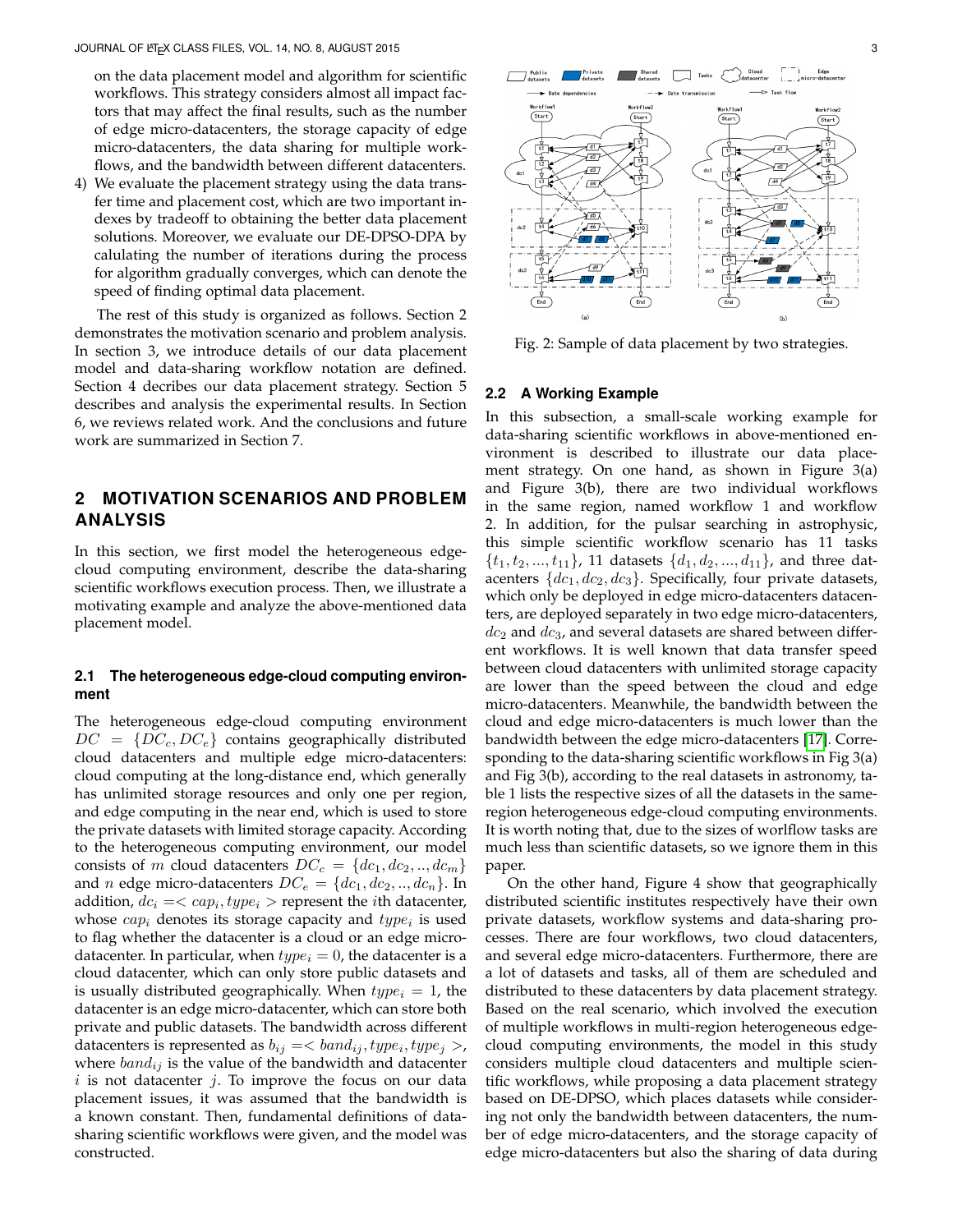on the data placement model and algorithm for scientific workflows. This strategy considers almost all impact factors that may affect the final results, such as the number of edge micro-datacenters, the storage capacity of edge micro-datacenters, the data sharing for multiple workflows, and the bandwidth between different datacenters.

4) We evaluate the placement strategy using the data transfer time and placement cost, which are two important indexes by tradeoff to obtaining the better data placement solutions. Moreover, we evaluate our DE-DPSO-DPA by calulating the number of iterations during the process for algorithm gradually converges, which can denote the speed of finding optimal data placement.

The rest of this study is organized as follows. Section 2 demonstrates the motivation scenario and problem analysis. In section 3, we introduce details of our data placement model and data-sharing workflow notation are defined. Section 4 decribes our data placement strategy. Section 5 describes and analysis the experimental results. In Section 6, we reviews related work. And the conclusions and future work are summarized in Section 7.

## **2 MOTIVATION SCENARIOS AND PROBLEM ANALYSIS**

In this section, we first model the heterogeneous edgecloud computing environment, describe the data-sharing scientific workflows execution process. Then, we illustrate a motivating example and analyze the above-mentioned data placement model.

## **2.1 The heterogeneous edge-cloud computing environment**

The heterogeneous edge-cloud computing environment  $DC = \{DC_c, DC_e\}$  contains geographically distributed cloud datacenters and multiple edge micro-datacenters: cloud computing at the long-distance end, which generally has unlimited storage resources and only one per region, and edge computing in the near end, which is used to store the private datasets with limited storage capacity. According to the heterogeneous computing environment, our model consists of m cloud datacenters  $DC_c = \{dc_1, dc_2, ..., dc_m\}$ and *n* edge micro-datacenters  $DC_e = \{dc_1, dc_2, ..., dc_n\}$ . In addition,  $dc_i =$  represent the *i*th datacenter, whose  $cap_i$  denotes its storage capacity and  $type_i$  is used to flag whether the datacenter is a cloud or an edge microdatacenter. In particular, when  $type_i = 0$ , the datacenter is a cloud datacenter, which can only store public datasets and is usually distributed geographically. When  $type_i = 1$ , the datacenter is an edge micro-datacenter, which can store both private and public datasets. The bandwidth across different datacenters is represented as  $b_{ij} = **band,  $type_i, type_j >$ ,**$ where  $band_{ij}$  is the value of the bandwidth and datacenter  $i$  is not datacenter  $j$ . To improve the focus on our data placement issues, it was assumed that the bandwidth is a known constant. Then, fundamental definitions of datasharing scientific workflows were given, and the model was constructed.



Fig. 2: Sample of data placement by two strategies.

## **2.2 A Working Example**

In this subsection, a small-scale working example for data-sharing scientific workflows in above-mentioned environment is described to illustrate our data placement strategy. On one hand, as shown in Figure 3(a) and Figure 3(b), there are two individual workflows in the same region, named workflow 1 and workflow 2. In addition, for the pulsar searching in astrophysic, this simple scientific workflow scenario has 11 tasks  $\{t_1, t_2, ..., t_{11}\}\$ , 11 datasets  $\{d_1, d_2, ..., d_{11}\}\$ , and three datacenters  $\{dc_1,dc_2,dc_3\}$ . Specifically, four private datasets, which only be deployed in edge micro-datacenters datacenters, are deployed separately in two edge micro-datacenters,  $dc_2$  and  $dc_3$ , and several datasets are shared between different workflows. It is well known that data transfer speed between cloud datacenters with unlimited storage capacity are lower than the speed between the cloud and edge micro-datacenters. Meanwhile, the bandwidth between the cloud and edge micro-datacenters is much lower than the bandwidth between the edge micro-datacenters [\[17\]](#page-10-16). Corresponding to the data-sharing scientific workflows in Fig 3(a) and Fig 3(b), according to the real datasets in astronomy, table 1 lists the respective sizes of all the datasets in the sameregion heterogeneous edge-cloud computing environments. It is worth noting that, due to the sizes of worlflow tasks are much less than scientific datasets, so we ignore them in this paper.

On the other hand, Figure 4 show that geographically distributed scientific institutes respectively have their own private datasets, workflow systems and data-sharing processes. There are four workflows, two cloud datacenters, and several edge micro-datacenters. Furthermore, there are a lot of datasets and tasks, all of them are scheduled and distributed to these datacenters by data placement strategy. Based on the real scenario, which involved the execution of multiple workflows in multi-region heterogeneous edgecloud computing environments, the model in this study considers multiple cloud datacenters and multiple scientific workflows, while proposing a data placement strategy based on DE-DPSO, which places datasets while considering not only the bandwidth between datacenters, the number of edge micro-datacenters, and the storage capacity of edge micro-datacenters but also the sharing of data during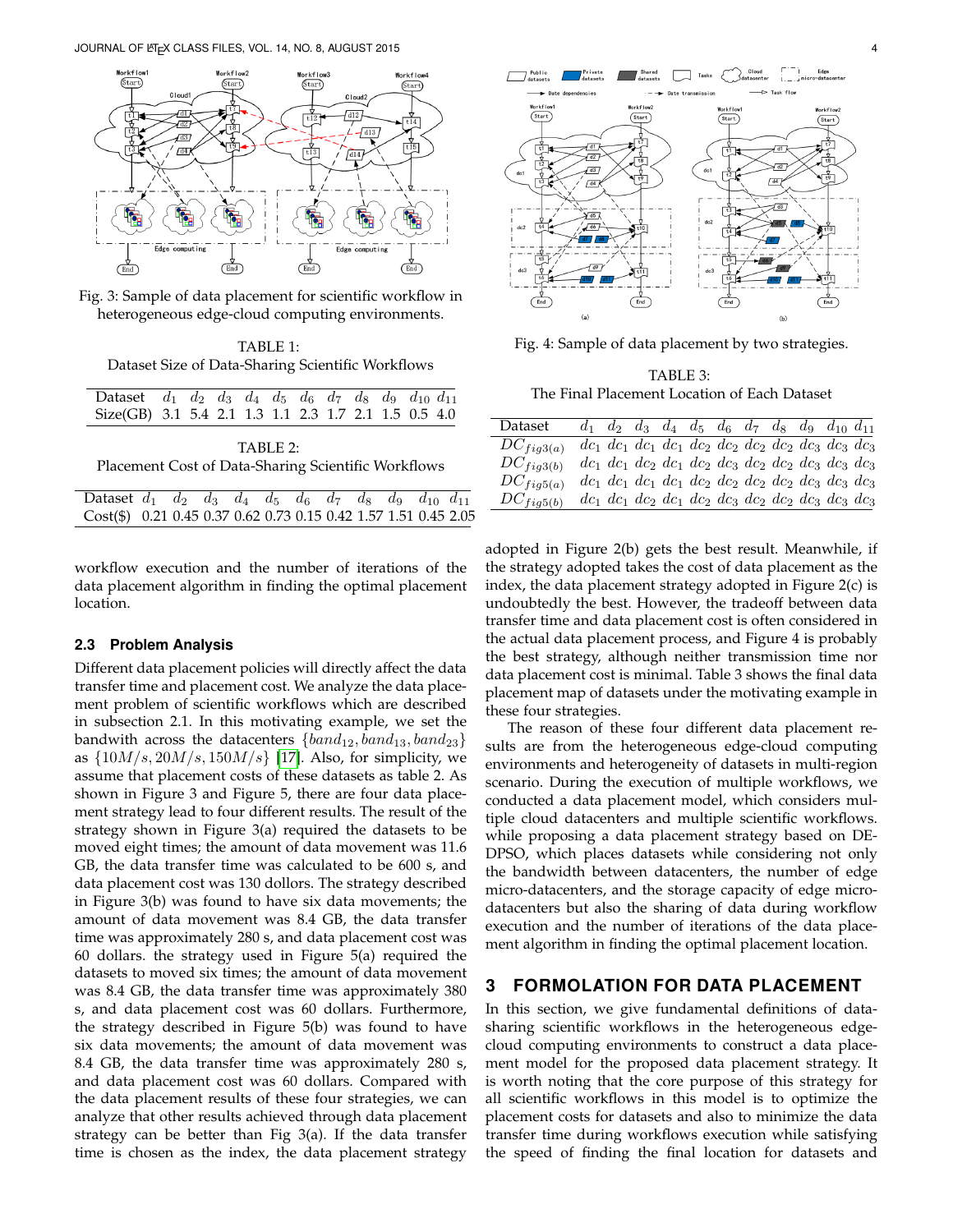

Fig. 3: Sample of data placement for scientific workflow in heterogeneous edge-cloud computing environments.

TABLE 1: Dataset Size of Data-Sharing Scientific Workflows

| Dataset $d_1$ $d_2$ $d_3$ $d_4$ $d_5$ $d_6$ $d_7$ $d_8$ $d_9$ $d_{10}$ $d_{11}$ |  |  |  |  |  |  |  |  |  |  |  |
|---------------------------------------------------------------------------------|--|--|--|--|--|--|--|--|--|--|--|
| Size(GB) 3.1 5.4 2.1 1.3 1.1 2.3 1.7 2.1 1.5 0.5 4.0                            |  |  |  |  |  |  |  |  |  |  |  |
| $TARI$ $P$ .                                                                    |  |  |  |  |  |  |  |  |  |  |  |
| Placement Cost of Data-Sharing Scientific Workflows                             |  |  |  |  |  |  |  |  |  |  |  |

| Dataset $d_1$ $d_2$ $d_3$ $d_4$ $d_5$ $d_6$ $d_7$ $d_8$ $d_9$ $d_{10}$ $d_{11}$ |  |  |  |  |  |  |
|---------------------------------------------------------------------------------|--|--|--|--|--|--|
| Cost(\$) 0.21 0.45 0.37 0.62 0.73 0.15 0.42 1.57 1.51 0.45 2.05                 |  |  |  |  |  |  |

workflow execution and the number of iterations of the data placement algorithm in finding the optimal placement location.

#### **2.3 Problem Analysis**

Different data placement policies will directly affect the data transfer time and placement cost. We analyze the data placement problem of scientific workflows which are described in subsection 2.1. In this motivating example, we set the bandwith across the datacenters  $\{band_{12}, band_{13}, band_{23}\}$ as  $\{10M/s, 20M/s, 150M/s\}$  [\[17\]](#page-10-16). Also, for simplicity, we assume that placement costs of these datasets as table 2. As shown in Figure 3 and Figure 5, there are four data placement strategy lead to four different results. The result of the strategy shown in Figure 3(a) required the datasets to be moved eight times; the amount of data movement was 11.6 GB, the data transfer time was calculated to be 600 s, and data placement cost was 130 dollors. The strategy described in Figure 3(b) was found to have six data movements; the amount of data movement was 8.4 GB, the data transfer time was approximately 280 s, and data placement cost was 60 dollars. the strategy used in Figure 5(a) required the datasets to moved six times; the amount of data movement was 8.4 GB, the data transfer time was approximately 380 s, and data placement cost was 60 dollars. Furthermore, the strategy described in Figure 5(b) was found to have six data movements; the amount of data movement was 8.4 GB, the data transfer time was approximately 280 s, and data placement cost was 60 dollars. Compared with the data placement results of these four strategies, we can analyze that other results achieved through data placement strategy can be better than Fig 3(a). If the data transfer time is chosen as the index, the data placement strategy



 $\sum$  Public<br>datasets

Private<br>datasets

Fig. 4: Sample of data placement by two strategies.

TABLE 3: The Final Placement Location of Each Dataset

| Dataset        | $d_1$ $d_2$ $d_3$ $d_4$ $d_5$ $d_6$ $d_7$ $d_8$ $d_9$ $d_{10}$ $d_{11}$      |  |  |  |  |  |
|----------------|------------------------------------------------------------------------------|--|--|--|--|--|
| $DC_{fig3(a)}$ | $dc_1$ $dc_1$ $dc_1$ $dc_1$ $dc_2$ $dc_2$ $dc_2$ $dc_2$ $dc_3$ $dc_3$ $dc_3$ |  |  |  |  |  |
| $DC_{fig3(b)}$ | $dc_1$ $dc_1$ $dc_2$ $dc_1$ $dc_2$ $dc_3$ $dc_2$ $dc_2$ $dc_3$ $dc_3$ $dc_3$ |  |  |  |  |  |
| $DC_{fig5(a)}$ | $dc_1 dc_1 dc_1 dc_1 dc_2 dc_2 dc_2 dc_2 dc_3 dc_3 dc_3 dc_3$                |  |  |  |  |  |
| $DC_{fig5(b)}$ | $dc_1$ $dc_1$ $dc_2$ $dc_1$ $dc_2$ $dc_3$ $dc_2$ $dc_2$ $dc_3$ $dc_3$ $dc_3$ |  |  |  |  |  |

adopted in Figure 2(b) gets the best result. Meanwhile, if the strategy adopted takes the cost of data placement as the index, the data placement strategy adopted in Figure 2(c) is undoubtedly the best. However, the tradeoff between data transfer time and data placement cost is often considered in the actual data placement process, and Figure 4 is probably the best strategy, although neither transmission time nor data placement cost is minimal. Table 3 shows the final data placement map of datasets under the motivating example in these four strategies.

The reason of these four different data placement results are from the heterogeneous edge-cloud computing environments and heterogeneity of datasets in multi-region scenario. During the execution of multiple workflows, we conducted a data placement model, which considers multiple cloud datacenters and multiple scientific workflows. while proposing a data placement strategy based on DE-DPSO, which places datasets while considering not only the bandwidth between datacenters, the number of edge micro-datacenters, and the storage capacity of edge microdatacenters but also the sharing of data during workflow execution and the number of iterations of the data placement algorithm in finding the optimal placement location.

## **3 FORMOLATION FOR DATA PLACEMENT**

In this section, we give fundamental definitions of datasharing scientific workflows in the heterogeneous edgecloud computing environments to construct a data placement model for the proposed data placement strategy. It is worth noting that the core purpose of this strategy for all scientific workflows in this model is to optimize the placement costs for datasets and also to minimize the data transfer time during workflows execution while satisfying the speed of finding the final location for datasets and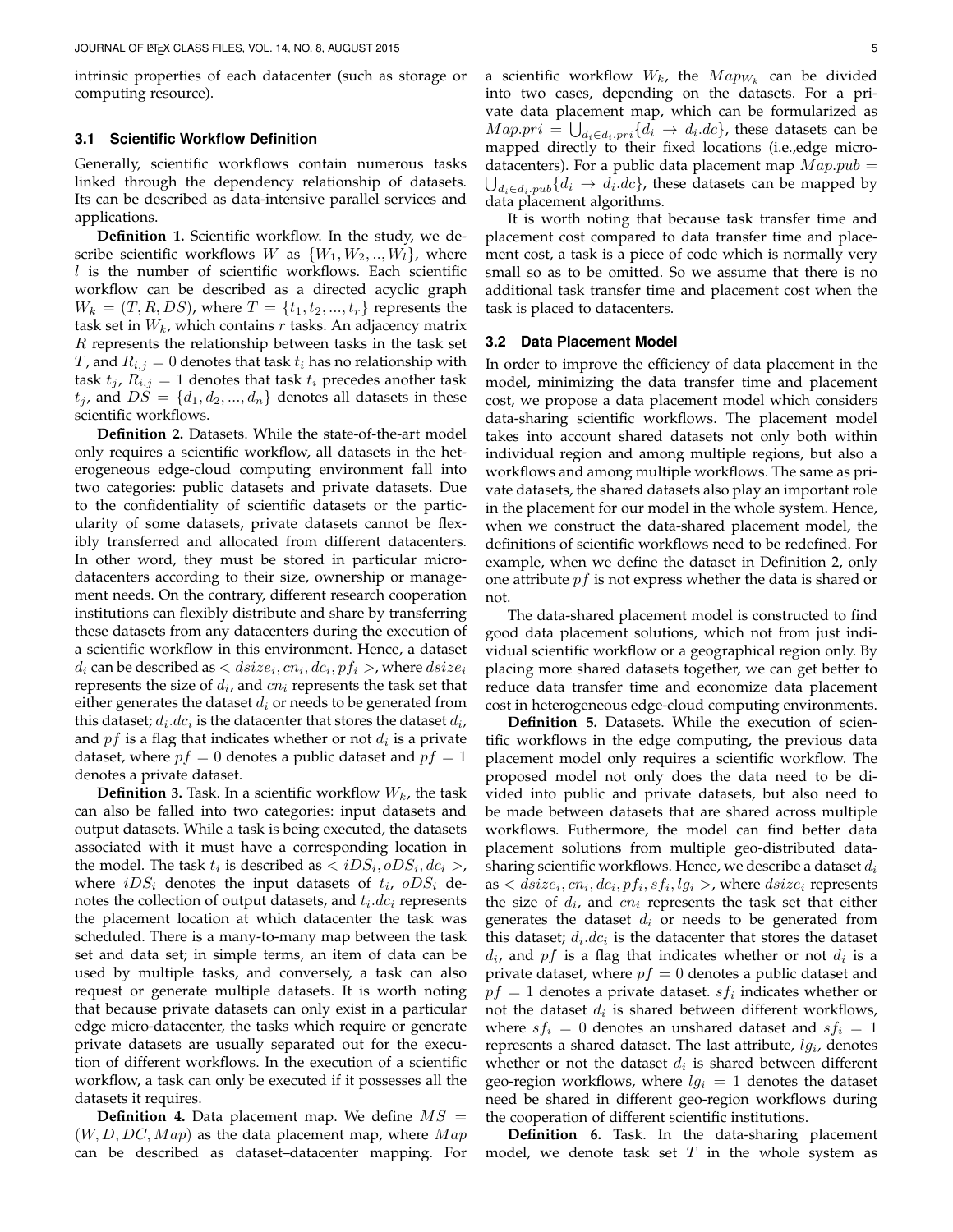intrinsic properties of each datacenter (such as storage or computing resource).

#### **3.1 Scientific Workflow Definition**

Generally, scientific workflows contain numerous tasks linked through the dependency relationship of datasets. Its can be described as data-intensive parallel services and applications.

**Definition 1.** Scientific workflow. In the study, we describe scientific workflows W as  $\{W_1, W_2, ..., W_l\}$ , where  $l$  is the number of scientific workflows. Each scientific workflow can be described as a directed acyclic graph  $W_k = (T, R, DS)$ , where  $T = \{t_1, t_2, ..., t_r\}$  represents the task set in  $W_k$ , which contains  $r$  tasks. An adjacency matrix R represents the relationship between tasks in the task set T, and  $R_{i,j} = 0$  denotes that task  $t_i$  has no relationship with task  $t_i$ ,  $R_{i,j} = 1$  denotes that task  $t_i$  precedes another task  $t_j$ , and  $DS = \{d_1, d_2, ..., d_n\}$  denotes all datasets in these scientific workflows.

**Definition 2.** Datasets. While the state-of-the-art model only requires a scientific workflow, all datasets in the heterogeneous edge-cloud computing environment fall into two categories: public datasets and private datasets. Due to the confidentiality of scientific datasets or the particularity of some datasets, private datasets cannot be flexibly transferred and allocated from different datacenters. In other word, they must be stored in particular microdatacenters according to their size, ownership or management needs. On the contrary, different research cooperation institutions can flexibly distribute and share by transferring these datasets from any datacenters during the execution of a scientific workflow in this environment. Hence, a dataset  $d_i$  can be described as  $,$  where  $disize_i$ represents the size of  $d_i$ , and  $cn_i$  represents the task set that either generates the dataset  $d_i$  or needs to be generated from this dataset;  $d_i.dc_i$  is the datacenter that stores the dataset  $d_i$ , and  $pf$  is a flag that indicates whether or not  $d_i$  is a private dataset, where  $pf = 0$  denotes a public dataset and  $pf = 1$ denotes a private dataset.

**Definition 3.** Task. In a scientific workflow  $W_k$ , the task can also be falled into two categories: input datasets and output datasets. While a task is being executed, the datasets associated with it must have a corresponding location in the model. The task  $t_i$  is described as  $\langle iDS_i, oDS_i, dc_i \rangle$ , where  $iDS_i$  denotes the input datasets of  $t_i$ ,  $oDS_i$  denotes the collection of output datasets, and  $t_i.dc_i$  represents the placement location at which datacenter the task was scheduled. There is a many-to-many map between the task set and data set; in simple terms, an item of data can be used by multiple tasks, and conversely, a task can also request or generate multiple datasets. It is worth noting that because private datasets can only exist in a particular edge micro-datacenter, the tasks which require or generate private datasets are usually separated out for the execution of different workflows. In the execution of a scientific workflow, a task can only be executed if it possesses all the datasets it requires.

**Definition 4.** Data placement map. We define  $MS =$  $(W, D, DC, Map)$  as the data placement map, where  $Map$ can be described as dataset–datacenter mapping. For

a scientific workflow  $W_k$ , the  $Map_{W_k}$  can be divided into two cases, depending on the datasets. For a private data placement map, which can be formularized as  $Map. pri = \bigcup_{d_i \in d_i. pri} \{d_i \rightarrow d_i. dc\}$ , these datasets can be mapped directly to their fixed locations (i.e.,edge microdatacenters). For a public data placement map  $Map. pub =$  $\bigcup_{d_i \in d_i, pub} \{d_i \rightarrow d_i.dc\}$ , these datasets can be mapped by data placement algorithms.

It is worth noting that because task transfer time and placement cost compared to data transfer time and placement cost, a task is a piece of code which is normally very small so as to be omitted. So we assume that there is no additional task transfer time and placement cost when the task is placed to datacenters.

#### **3.2 Data Placement Model**

In order to improve the efficiency of data placement in the model, minimizing the data transfer time and placement cost, we propose a data placement model which considers data-sharing scientific workflows. The placement model takes into account shared datasets not only both within individual region and among multiple regions, but also a workflows and among multiple workflows. The same as private datasets, the shared datasets also play an important role in the placement for our model in the whole system. Hence, when we construct the data-shared placement model, the definitions of scientific workflows need to be redefined. For example, when we define the dataset in Definition 2, only one attribute  $pf$  is not express whether the data is shared or not.

The data-shared placement model is constructed to find good data placement solutions, which not from just individual scientific workflow or a geographical region only. By placing more shared datasets together, we can get better to reduce data transfer time and economize data placement cost in heterogeneous edge-cloud computing environments.

**Definition 5.** Datasets. While the execution of scientific workflows in the edge computing, the previous data placement model only requires a scientific workflow. The proposed model not only does the data need to be divided into public and private datasets, but also need to be made between datasets that are shared across multiple workflows. Futhermore, the model can find better data placement solutions from multiple geo-distributed datasharing scientific workflows. Hence, we describe a dataset  $d_i$ as  $\langle$  dsize<sub>i</sub>,  $cn_i, dc_i, pf_i, sf_i, lg_i \rangle$ , where  $disize_i$  represents the size of  $d_i$ , and  $cn_i$  represents the task set that either generates the dataset  $d_i$  or needs to be generated from this dataset;  $d_i.dc_i$  is the datacenter that stores the dataset  $d_i$ , and pf is a flag that indicates whether or not  $d_i$  is a private dataset, where  $pf = 0$  denotes a public dataset and  $pf = 1$  denotes a private dataset.  $sf_i$  indicates whether or not the dataset  $d_i$  is shared between different workflows, where  $sf_i = 0$  denotes an unshared dataset and  $sf_i = 1$ represents a shared dataset. The last attribute,  $lg_i$ , denotes whether or not the dataset  $d_i$  is shared between different geo-region workflows, where  $lg_i = 1$  denotes the dataset need be shared in different geo-region workflows during the cooperation of different scientific institutions.

**Definition 6.** Task. In the data-sharing placement model, we denote task set  $T$  in the whole system as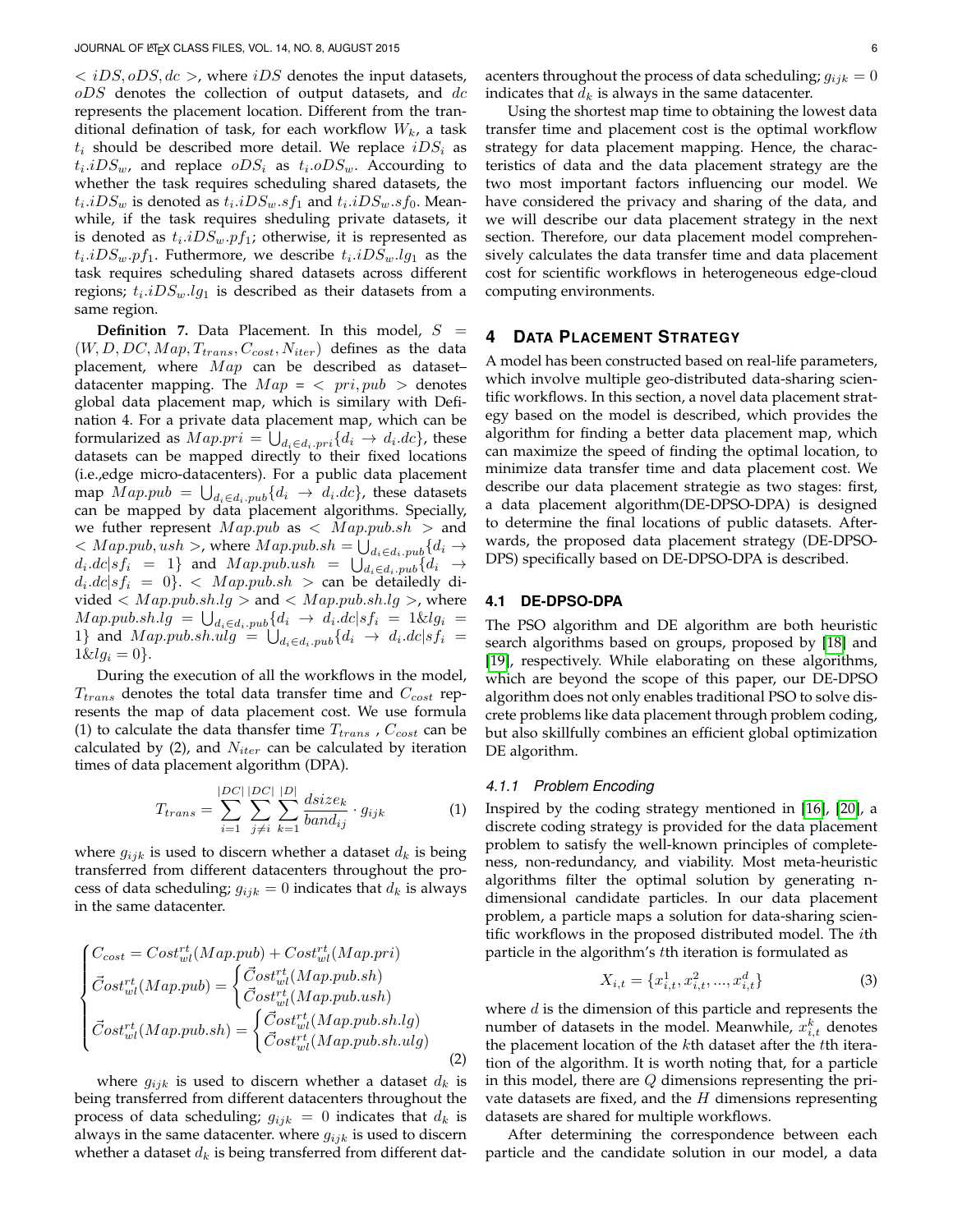$\langle iDS, oDS, dc \rangle$ , where iDS denotes the input datasets,  $oDS$  denotes the collection of output datasets, and  $dc$ represents the placement location. Different from the tranditional defination of task, for each workflow  $W_k$ , a task  $t_i$  should be described more detail. We replace  $iDS_i$  as  $t_i.iDS_w$ , and replace  $oDS_i$  as  $t_i.oDS_w$ . Accourding to whether the task requires scheduling shared datasets, the  $t_i.iDS_w$  is denoted as  $t_i.iDS_w.sf_1$  and  $t_i.iDS_w.sf_0$ . Meanwhile, if the task requires sheduling private datasets, it is denoted as  $t_i.iDS_w.p f_1$ ; otherwise, it is represented as  $t_i.iDS_w.p f_1.$  Futhermore, we describe  $t_i.iDS_w.lg_1$  as the task requires scheduling shared datasets across different regions;  $t_i.iDS_w.lg_1$  is described as their datasets from a same region.

**Definition 7.** Data Placement. In this model,  $S =$  $(W, D, DC, Map, T_{trans}, C_{cost}, N_{iter})$  defines as the data placement, where  $Map$  can be described as datasetdatacenter mapping. The  $Map = \langle pri, pub \rangle$  denotes global data placement map, which is similary with Defination 4. For a private data placement map, which can be formularized as  $Map: pri = \bigcup_{d_i \in d_i: pri} \{d_i \rightarrow d_i.dc\}$ , these datasets can be mapped directly to their fixed locations (i.e.,edge micro-datacenters). For a public data placement map  $Map . pub = \bigcup_{d_i \in d_i .pub} \{d_i \rightarrow d_i .dc\}$ , these datasets can be mapped by data placement algorithms. Specially, we futher represent  $Map.pub$  as  $\langle Map.pub.sh \rangle$  and  $< Map.pub, ush$ , where  $Map.pub.sh = \bigcup_{d_i \in d_i.pub} \{d_i \rightarrow$  $d_i.dc|sf_i = 1$  and  $Map.pub.ush = \bigcup_{d_i \in d_i.pub} \{d_i \rightarrow$  $d_i.dc|sf_i = 0$ }.  $\langle Map.pub.sh \rangle$  can be detailedly divided  $\langle Map.pub.sh.lg \rangle$  and  $\langle Map.pub.sh.lg \rangle$ , where  $Map.pub. sh. lg = \bigcup_{d_i \in d_i. pub} \{d_i \rightarrow d_i. dc | sf_i = 1 \& lg_i =$ 1} and  $Map.pub.sh.ulg = \bigcup_{d_i \in d_i.pub} \{d_i \rightarrow d_i.dc|sf_i =$  $1 \& l g_i = 0$ .

During the execution of all the workflows in the model,  $T_{trans}$  denotes the total data transfer time and  $C_{cost}$  represents the map of data placement cost. We use formula (1) to calculate the data thansfer time  $T_{trans}$  ,  $C_{cost}$  can be calculated by (2), and  $N_{iter}$  can be calculated by iteration times of data placement algorithm (DPA).

$$
T_{trans} = \sum_{i=1}^{|DC|} \sum_{j \neq i}^{|DC|} \sum_{k=1}^{|D|} \frac{dsize_k}{band_{ij}} \cdot g_{ijk} \tag{1}
$$

where  $g_{ijk}$  is used to discern whether a dataset  $d_k$  is being transferred from different datacenters throughout the process of data scheduling;  $g_{ijk} = 0$  indicates that  $d_k$  is always in the same datacenter.

$$
\begin{cases}\nC_{cost} = Cost_{wl}^{rt}(Map.pub) + Cost_{wl}^{rt}(Map.pri) \\
\vec{Cost}_{wl}^{rt}(Map.pub) = \begin{cases}\n\vec{Cost}_{wl}^{rt}(Map.pub.sh) \\
\vec{Cost}_{wl}^{rt}(Map.pub.ush) \\
\vec{Cost}_{wl}^{rt}(Map.pub.sh) = \begin{cases}\n\vec{Cost}_{wl}^{rt}(Map.pub.sh.lg) \\
\vec{Cost}_{wl}^{rt}(Map.pub.sh.ug)\n\end{cases} \\
\end{cases}
$$
\n(2)

where  $g_{ijk}$  is used to discern whether a dataset  $d_k$  is being transferred from different datacenters throughout the process of data scheduling;  $g_{ijk} = 0$  indicates that  $d_k$  is always in the same datacenter. where  $g_{ijk}$  is used to discern whether a dataset  $d_k$  is being transferred from different dat-

Using the shortest map time to obtaining the lowest data transfer time and placement cost is the optimal workflow strategy for data placement mapping. Hence, the characteristics of data and the data placement strategy are the two most important factors influencing our model. We have considered the privacy and sharing of the data, and we will describe our data placement strategy in the next section. Therefore, our data placement model comprehensively calculates the data transfer time and data placement cost for scientific workflows in heterogeneous edge-cloud computing environments.

## **4 DATA PLACEMENT STRATEGY**

A model has been constructed based on real-life parameters, which involve multiple geo-distributed data-sharing scientific workflows. In this section, a novel data placement strategy based on the model is described, which provides the algorithm for finding a better data placement map, which can maximize the speed of finding the optimal location, to minimize data transfer time and data placement cost. We describe our data placement strategie as two stages: first, a data placement algorithm(DE-DPSO-DPA) is designed to determine the final locations of public datasets. Afterwards, the proposed data placement strategy (DE-DPSO-DPS) specifically based on DE-DPSO-DPA is described.

#### **4.1 DE-DPSO-DPA**

The PSO algorithm and DE algorithm are both heuristic search algorithms based on groups, proposed by [\[18\]](#page-10-17) and [\[19\]](#page-10-18), respectively. While elaborating on these algorithms, which are beyond the scope of this paper, our DE-DPSO algorithm does not only enables traditional PSO to solve discrete problems like data placement through problem coding, but also skillfully combines an efficient global optimization DE algorithm.

#### *4.1.1 Problem Encoding*

Inspired by the coding strategy mentioned in [\[16\]](#page-10-15), [\[20\]](#page-10-19), a discrete coding strategy is provided for the data placement problem to satisfy the well-known principles of completeness, non-redundancy, and viability. Most meta-heuristic algorithms filter the optimal solution by generating ndimensional candidate particles. In our data placement problem, a particle maps a solution for data-sharing scientific workflows in the proposed distributed model. The *i*th particle in the algorithm's tth iteration is formulated as

$$
X_{i,t} = \{x_{i,t}^1, x_{i,t}^2, ..., x_{i,t}^d\}
$$
 (3)

where  $d$  is the dimension of this particle and represents the number of datasets in the model. Meanwhile,  $\overline{x_{i,t}^k}$  denotes the placement location of the  $k$ th dataset after the  $t$ th iteration of the algorithm. It is worth noting that, for a particle in this model, there are  $Q$  dimensions representing the private datasets are fixed, and the  $H$  dimensions representing datasets are shared for multiple workflows.

After determining the correspondence between each particle and the candidate solution in our model, a data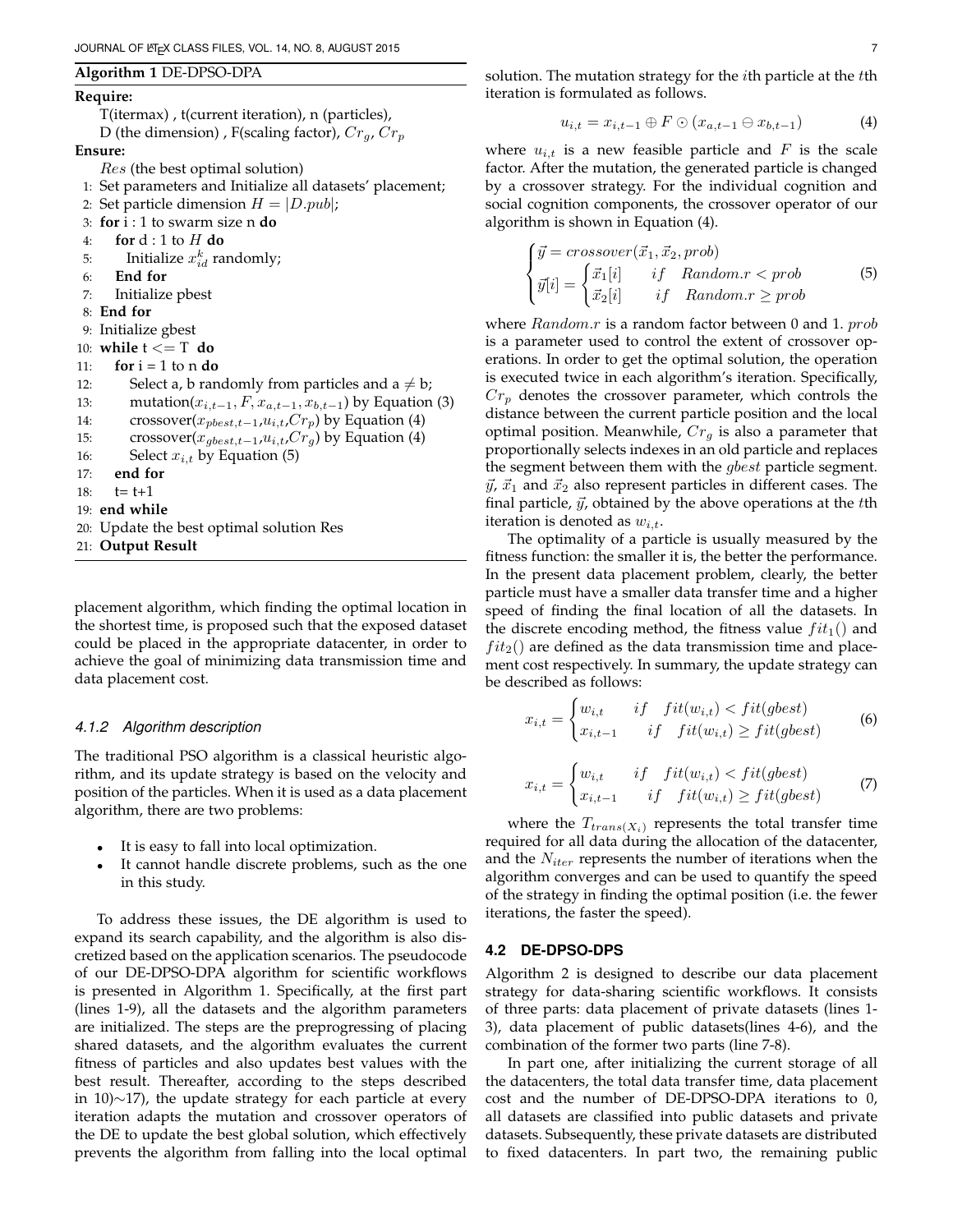#### **Algorithm 1** DE-DPSO-DPA

#### **Require:**

T(itermax) , t(current iteration), n (particles),

D (the dimension), F(scaling factor),  $Cr_q$ ,  $Cr_p$ 

**Ensure:**

- Res (the best optimal solution)
- 1: Set parameters and Initialize all datasets' placement;
- 2: Set particle dimension  $H = |D.pub|$ ;
- 3: **for** i : 1 to swarm size n **do**
- 4: **for** d : 1 to H **do**
- 5: Initialize  $x_{id}^k$  randomly;
- 6: **End for**
- 7: Initialize pbest
- 8: **End for**
- 9: Initialize gbest
- 10: **while** t <= T **do**
- 11: **for**  $i = 1$  to n **do**
- 12: Select a, b randomly from particles and  $a \neq b$ ;
- 13: mutation( $x_{i,t-1}, F, x_{a,t-1}, x_{b,t-1}$ ) by Equation (3)
- 14: crossover( $x_{pbest,t-1}, u_{i,t}, Cr_p$ ) by Equation (4)
- 15: crossover( $x_{\text{gbest},t-1},u_{i,t},Cr_q$ ) by Equation (4)
- 16: Select  $x_{i,t}$  by Equation (5)
- 17: **end for**
- 18:  $t= t+1$
- 19: **end while**
- 20: Update the best optimal solution Res
- 21: **Output Result**

placement algorithm, which finding the optimal location in the shortest time, is proposed such that the exposed dataset could be placed in the appropriate datacenter, in order to achieve the goal of minimizing data transmission time and data placement cost.

#### *4.1.2 Algorithm description*

The traditional PSO algorithm is a classical heuristic algorithm, and its update strategy is based on the velocity and position of the particles. When it is used as a data placement algorithm, there are two problems:

- It is easy to fall into local optimization.
- It cannot handle discrete problems, such as the one in this study.

To address these issues, the DE algorithm is used to expand its search capability, and the algorithm is also discretized based on the application scenarios. The pseudocode of our DE-DPSO-DPA algorithm for scientific workflows is presented in Algorithm 1. Specifically, at the first part (lines 1-9), all the datasets and the algorithm parameters are initialized. The steps are the preprogressing of placing shared datasets, and the algorithm evaluates the current fitness of particles and also updates best values with the best result. Thereafter, according to the steps described in 10)∼17), the update strategy for each particle at every iteration adapts the mutation and crossover operators of the DE to update the best global solution, which effectively prevents the algorithm from falling into the local optimal

solution. The mutation strategy for the *i*th particle at the *t*th iteration is formulated as follows.

$$
u_{i,t} = x_{i,t-1} \oplus F \odot (x_{a,t-1} \ominus x_{b,t-1}) \tag{4}
$$

where  $u_{i,t}$  is a new feasible particle and F is the scale factor. After the mutation, the generated particle is changed by a crossover strategy. For the individual cognition and social cognition components, the crossover operator of our algorithm is shown in Equation (4).

$$
\begin{cases}\n\vec{y} = crossover(\vec{x}_1, \vec{x}_2, prob) \\
\vec{y}[i] = \begin{cases}\n\vec{x}_1[i] & if \quad Random.r < prob \\
\vec{x}_2[i] & if \quad Random.r \ge prob\n\end{cases}\n\end{cases} (5)
$$

where  $Random.r$  is a random factor between 0 and 1.  $prob$ is a parameter used to control the extent of crossover operations. In order to get the optimal solution, the operation is executed twice in each algorithm's iteration. Specifically,  $Cr_p$  denotes the crossover parameter, which controls the distance between the current particle position and the local optimal position. Meanwhile,  $Cr<sub>q</sub>$  is also a parameter that proportionally selects indexes in an old particle and replaces the segment between them with the gbest particle segment.  $\vec{y}$ ,  $\vec{x}_1$  and  $\vec{x}_2$  also represent particles in different cases. The final particle,  $\vec{y}$ , obtained by the above operations at the tth iteration is denoted as  $w_{i,t}$ .

The optimality of a particle is usually measured by the fitness function: the smaller it is, the better the performance. In the present data placement problem, clearly, the better particle must have a smaller data transfer time and a higher speed of finding the final location of all the datasets. In the discrete encoding method, the fitness value  $fit_1()$  and  $fit_2$ () are defined as the data transmission time and placement cost respectively. In summary, the update strategy can be described as follows:

$$
x_{i,t} = \begin{cases} w_{i,t} & \text{if } \text{fit}(w_{i,t}) < \text{fit}(gbest) \\ x_{i,t-1} & \text{if } \text{fit}(w_{i,t}) \ge \text{fit}(gbest) \end{cases} \tag{6}
$$

$$
x_{i,t} = \begin{cases} w_{i,t} & \text{if } \text{fit}(w_{i,t}) < \text{fit}(gbest) \\ x_{i,t-1} & \text{if } \text{fit}(w_{i,t}) \ge \text{fit}(gbest) \end{cases} \tag{7}
$$

where the  $T_{trans(X_i)}$  represents the total transfer time required for all data during the allocation of the datacenter, and the  $N_{iter}$  represents the number of iterations when the algorithm converges and can be used to quantify the speed of the strategy in finding the optimal position (i.e. the fewer iterations, the faster the speed).

## **4.2 DE-DPSO-DPS**

Algorithm 2 is designed to describe our data placement strategy for data-sharing scientific workflows. It consists of three parts: data placement of private datasets (lines 1- 3), data placement of public datasets(lines 4-6), and the combination of the former two parts (line 7-8).

In part one, after initializing the current storage of all the datacenters, the total data transfer time, data placement cost and the number of DE-DPSO-DPA iterations to 0, all datasets are classified into public datasets and private datasets. Subsequently, these private datasets are distributed to fixed datacenters. In part two, the remaining public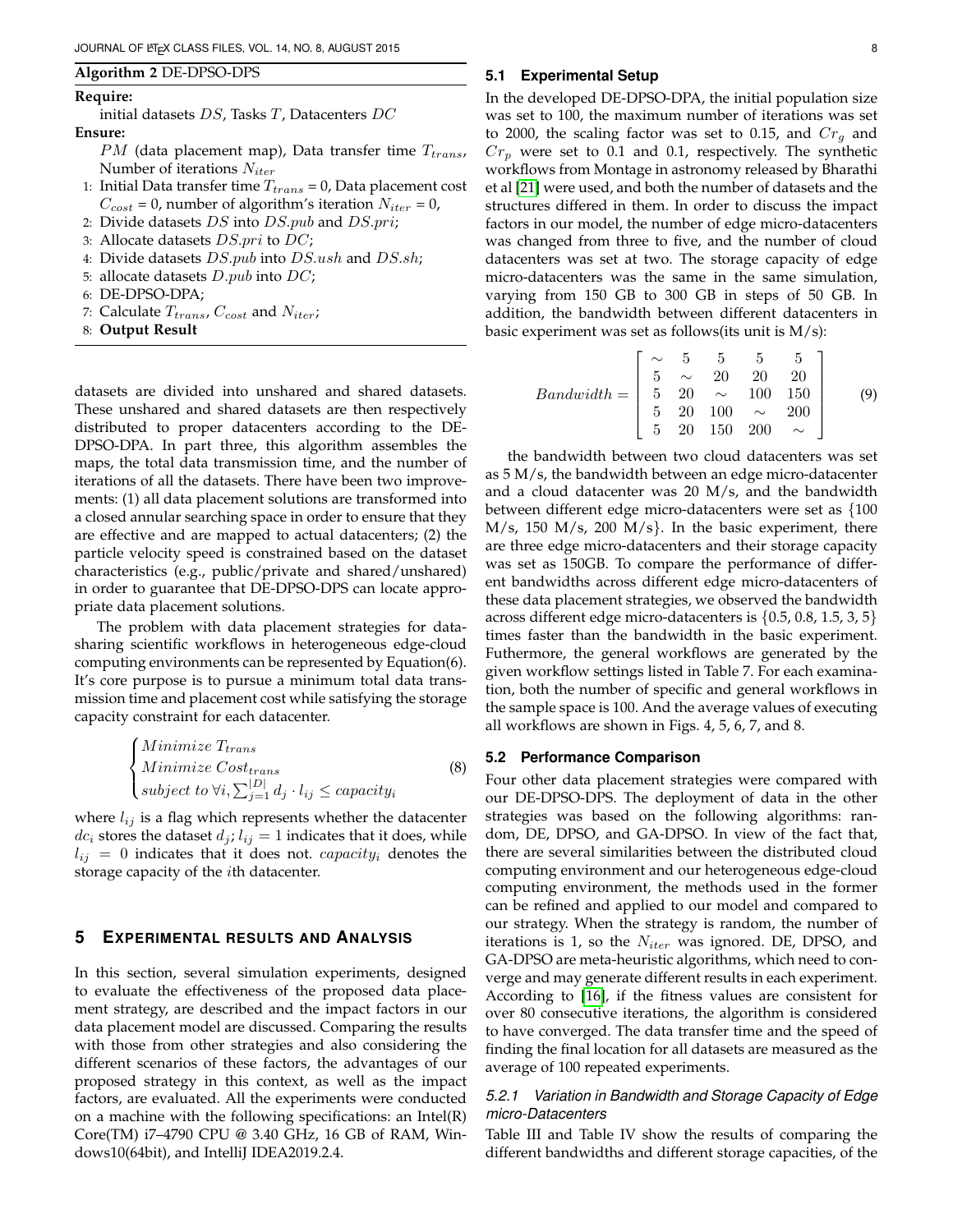#### **Algorithm 2** DE-DPSO-DPS

#### **Require:**

initial datasets DS, Tasks T, Datacenters DC **Ensure:**

- $PM$  (data placement map), Data transfer time  $T_{trans}$ , Number of iterations  $N_{iter}$
- 1: Initial Data transfer time  $T_{trans} = 0$ , Data placement cost  $C_{cost} = 0$ , number of algorithm's iteration  $N_{iter} = 0$ ,
- 2: Divide datasets  $DS$  into  $DS.pub$  and  $DS.pri;$
- 3: Allocate datasets  $DS.print$  to  $DC;$
- 4: Divide datasets  $DS.pub$  into  $DS.ush$  and  $DS.sh$ ;
- 5: allocate datasets  $D.pub$  into  $DC$ ;
- 6: DE-DPSO-DPA;
- 7: Calculate  $T_{trans}$ ,  $C_{cost}$  and  $N_{iter}$ ;
- 8: **Output Result**

datasets are divided into unshared and shared datasets. These unshared and shared datasets are then respectively distributed to proper datacenters according to the DE-DPSO-DPA. In part three, this algorithm assembles the maps, the total data transmission time, and the number of iterations of all the datasets. There have been two improvements: (1) all data placement solutions are transformed into a closed annular searching space in order to ensure that they are effective and are mapped to actual datacenters; (2) the particle velocity speed is constrained based on the dataset characteristics (e.g., public/private and shared/unshared) in order to guarantee that DE-DPSO-DPS can locate appropriate data placement solutions.

The problem with data placement strategies for datasharing scientific workflows in heterogeneous edge-cloud computing environments can be represented by Equation(6). It's core purpose is to pursue a minimum total data transmission time and placement cost while satisfying the storage capacity constraint for each datacenter.

$$
\begin{cases}\nMinimize T_{trans} \\
Minimize Cost_{trans} \\
subject\ to\ \forall i, \sum_{j=1}^{|D|} d_j \cdot l_{ij} \le capacity_i\n\end{cases} \tag{8}
$$

where  $l_{ij}$  is a flag which represents whether the datacenter  $dc_i$  stores the dataset  $d_j$ ;  $l_{ij} = 1$  indicates that it does, while  $l_{ij} = 0$  indicates that it does not. *capacity<sub>i</sub>* denotes the storage capacity of the ith datacenter.

## **5 EXPERIMENTAL RESULTS AND ANALYSIS**

In this section, several simulation experiments, designed to evaluate the effectiveness of the proposed data placement strategy, are described and the impact factors in our data placement model are discussed. Comparing the results with those from other strategies and also considering the different scenarios of these factors, the advantages of our proposed strategy in this context, as well as the impact factors, are evaluated. All the experiments were conducted on a machine with the following specifications: an Intel(R) Core(TM) i7–4790 CPU @ 3.40 GHz, 16 GB of RAM, Windows10(64bit), and IntelliJ IDEA2019.2.4.

#### **5.1 Experimental Setup**

In the developed DE-DPSO-DPA, the initial population size was set to 100, the maximum number of iterations was set to 2000, the scaling factor was set to 0.15, and  $Cr_a$  and  $Cr_p$  were set to 0.1 and 0.1, respectively. The synthetic workflows from Montage in astronomy released by Bharathi et al [\[21\]](#page-10-20) were used, and both the number of datasets and the structures differed in them. In order to discuss the impact factors in our model, the number of edge micro-datacenters was changed from three to five, and the number of cloud datacenters was set at two. The storage capacity of edge micro-datacenters was the same in the same simulation, varying from 150 GB to 300 GB in steps of 50 GB. In addition, the bandwidth between different datacenters in basic experiment was set as follows(its unit is M/s):

$$
Bandwidth = \begin{bmatrix} \sim & 5 & 5 & 5 & 5 \\ 5 & \sim & 20 & 20 & 20 \\ 5 & 20 & \sim & 100 & 150 \\ 5 & 20 & 100 & \sim & 200 \\ 5 & 20 & 150 & 200 & \sim \end{bmatrix}
$$
(9)

the bandwidth between two cloud datacenters was set as 5 M/s, the bandwidth between an edge micro-datacenter and a cloud datacenter was 20 M/s, and the bandwidth between different edge micro-datacenters were set as {100  $M/s$ , 150  $M/s$ , 200  $M/s$ . In the basic experiment, there are three edge micro-datacenters and their storage capacity was set as 150GB. To compare the performance of different bandwidths across different edge micro-datacenters of these data placement strategies, we observed the bandwidth across different edge micro-datacenters is {0.5, 0.8, 1.5, 3, 5} times faster than the bandwidth in the basic experiment. Futhermore, the general workflows are generated by the given workflow settings listed in Table 7. For each examination, both the number of specific and general workflows in the sample space is 100. And the average values of executing all workflows are shown in Figs. 4, 5, 6, 7, and 8.

#### **5.2 Performance Comparison**

Four other data placement strategies were compared with our DE-DPSO-DPS. The deployment of data in the other strategies was based on the following algorithms: random, DE, DPSO, and GA-DPSO. In view of the fact that, there are several similarities between the distributed cloud computing environment and our heterogeneous edge-cloud computing environment, the methods used in the former can be refined and applied to our model and compared to our strategy. When the strategy is random, the number of iterations is 1, so the  $N_{iter}$  was ignored. DE, DPSO, and GA-DPSO are meta-heuristic algorithms, which need to converge and may generate different results in each experiment. According to [\[16\]](#page-10-15), if the fitness values are consistent for over 80 consecutive iterations, the algorithm is considered to have converged. The data transfer time and the speed of finding the final location for all datasets are measured as the average of 100 repeated experiments.

## *5.2.1 Variation in Bandwidth and Storage Capacity of Edge micro-Datacenters*

Table III and Table IV show the results of comparing the different bandwidths and different storage capacities, of the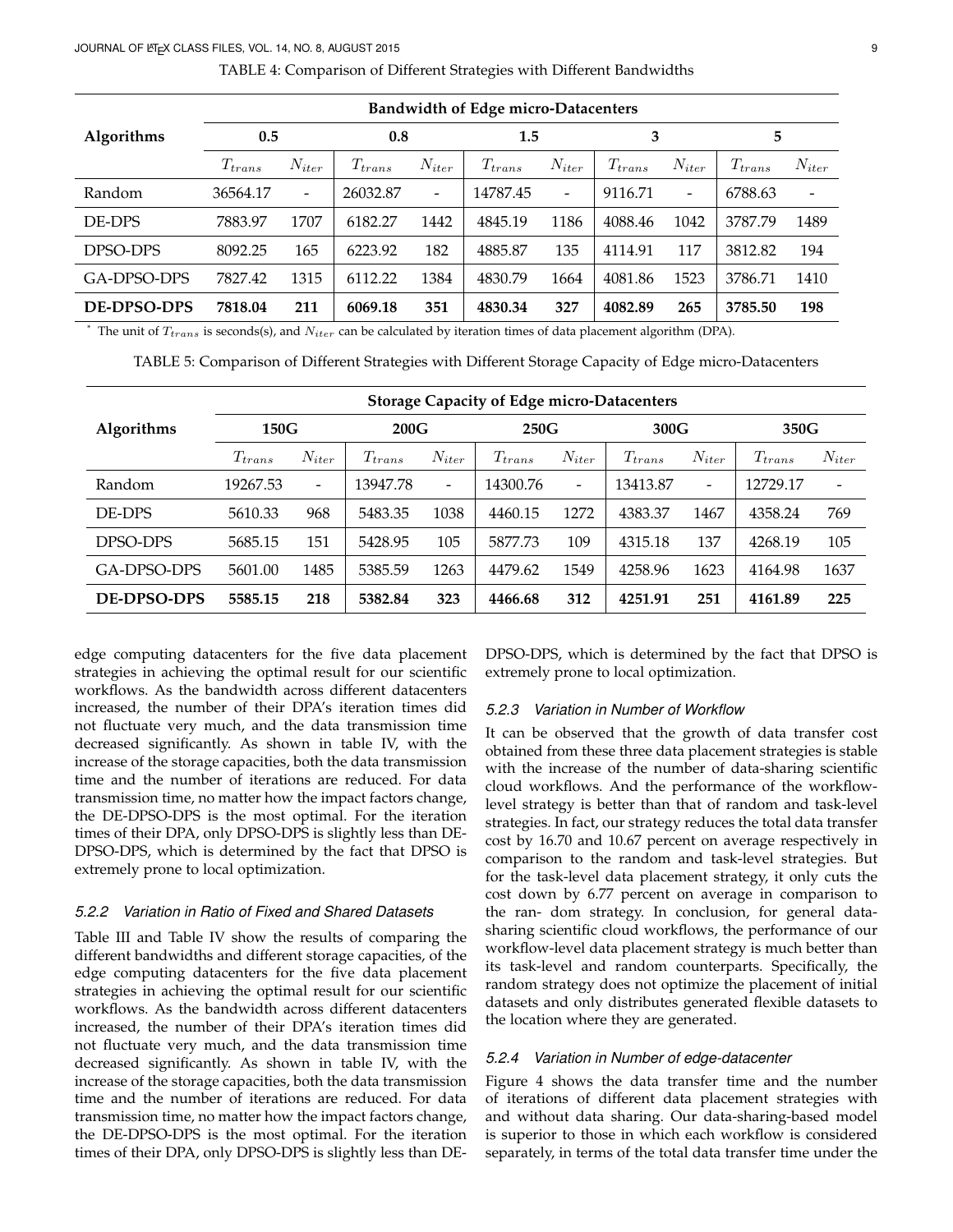#### JOURNAL OF LATEX CLASS FILES, VOL. 14, NO. 8, AUGUST 2015 9

|             | <b>Bandwidth of Edge micro-Datacenters</b> |                          |             |                          |             |                          |             |                          |             |                          |  |  |  |
|-------------|--------------------------------------------|--------------------------|-------------|--------------------------|-------------|--------------------------|-------------|--------------------------|-------------|--------------------------|--|--|--|
| Algorithms  | 0.5                                        |                          | 0.8         |                          | 1.5         |                          | 3           |                          | 5           |                          |  |  |  |
|             | $T_{trans}$                                | $N_{iter}$               | $T_{trans}$ | $N_{iter}$               | $T_{trans}$ | $N_{iter}$               | $T_{trans}$ | $N_{iter}$               | $T_{trans}$ | $N_{iter}$               |  |  |  |
| Random      | 36564.17                                   | $\overline{\phantom{a}}$ | 26032.87    | $\overline{\phantom{a}}$ | 14787.45    | $\overline{\phantom{a}}$ | 9116.71     | $\overline{\phantom{a}}$ | 6788.63     | $\overline{\phantom{a}}$ |  |  |  |
| DE-DPS      | 7883.97                                    | 1707                     | 6182.27     | 1442                     | 4845.19     | 1186                     | 4088.46     | 1042                     | 3787.79     | 1489                     |  |  |  |
| DPSO-DPS    | 8092.25                                    | 165                      | 6223.92     | 182                      | 4885.87     | 135                      | 4114.91     | 117                      | 3812.82     | 194                      |  |  |  |
| GA-DPSO-DPS | 7827.42                                    | 1315                     | 6112.22     | 1384                     | 4830.79     | 1664                     | 4081.86     | 1523                     | 3786.71     | 1410                     |  |  |  |
| DE-DPSO-DPS | 7818.04                                    | 211                      | 6069.18     | 351                      | 4830.34     | 327                      | 4082.89     | 265                      | 3785.50     | 198                      |  |  |  |

TABLE 4: Comparison of Different Strategies with Different Bandwidths

The unit of  $T_{trans}$  is seconds(s), and  $N_{iter}$  can be calculated by iteration times of data placement algorithm (DPA).

TABLE 5: Comparison of Different Strategies with Different Storage Capacity of Edge micro-Datacenters

|                    | <b>Storage Capacity of Edge micro-Datacenters</b> |                          |             |                          |             |                          |             |                          |             |                          |  |  |
|--------------------|---------------------------------------------------|--------------------------|-------------|--------------------------|-------------|--------------------------|-------------|--------------------------|-------------|--------------------------|--|--|
| <b>Algorithms</b>  | 150G                                              |                          | 200G        |                          | 250G        |                          | 300G        |                          | 350G        |                          |  |  |
|                    | $T_{trans}$                                       | $N_{iter}$               | $T_{trans}$ | $N_{iter}$               | $T_{trans}$ | $N_{iter}$               | $T_{trans}$ | $N_{iter}$               | $T_{trans}$ | $N_{iter}$               |  |  |
| Random             | 19267.53                                          | $\overline{\phantom{a}}$ | 13947.78    | $\overline{\phantom{a}}$ | 14300.76    | $\overline{\phantom{a}}$ | 13413.87    | $\overline{\phantom{a}}$ | 12729.17    | $\overline{\phantom{a}}$ |  |  |
| DE-DPS             | 5610.33                                           | 968                      | 5483.35     | 1038                     | 4460.15     | 1272                     | 4383.37     | 1467                     | 4358.24     | 769                      |  |  |
| DPSO-DPS           | 5685.15                                           | 151                      | 5428.95     | 105                      | 5877.73     | 109                      | 4315.18     | 137                      | 4268.19     | 105                      |  |  |
| GA-DPSO-DPS        | 5601.00                                           | 1485                     | 5385.59     | 1263                     | 4479.62     | 1549                     | 4258.96     | 1623                     | 4164.98     | 1637                     |  |  |
| <b>DE-DPSO-DPS</b> | 5585.15                                           | 218                      | 5382.84     | 323                      | 4466.68     | 312                      | 4251.91     | 251                      | 4161.89     | 225                      |  |  |

edge computing datacenters for the five data placement strategies in achieving the optimal result for our scientific workflows. As the bandwidth across different datacenters increased, the number of their DPA's iteration times did not fluctuate very much, and the data transmission time decreased significantly. As shown in table IV, with the increase of the storage capacities, both the data transmission time and the number of iterations are reduced. For data transmission time, no matter how the impact factors change, the DE-DPSO-DPS is the most optimal. For the iteration times of their DPA, only DPSO-DPS is slightly less than DE-DPSO-DPS, which is determined by the fact that DPSO is extremely prone to local optimization.

## *5.2.2 Variation in Ratio of Fixed and Shared Datasets*

Table III and Table IV show the results of comparing the different bandwidths and different storage capacities, of the edge computing datacenters for the five data placement strategies in achieving the optimal result for our scientific workflows. As the bandwidth across different datacenters increased, the number of their DPA's iteration times did not fluctuate very much, and the data transmission time decreased significantly. As shown in table IV, with the increase of the storage capacities, both the data transmission time and the number of iterations are reduced. For data transmission time, no matter how the impact factors change, the DE-DPSO-DPS is the most optimal. For the iteration times of their DPA, only DPSO-DPS is slightly less than DE- DPSO-DPS, which is determined by the fact that DPSO is extremely prone to local optimization.

## *5.2.3 Variation in Number of Workflow*

It can be observed that the growth of data transfer cost obtained from these three data placement strategies is stable with the increase of the number of data-sharing scientific cloud workflows. And the performance of the workflowlevel strategy is better than that of random and task-level strategies. In fact, our strategy reduces the total data transfer cost by 16.70 and 10.67 percent on average respectively in comparison to the random and task-level strategies. But for the task-level data placement strategy, it only cuts the cost down by 6.77 percent on average in comparison to the ran- dom strategy. In conclusion, for general datasharing scientific cloud workflows, the performance of our workflow-level data placement strategy is much better than its task-level and random counterparts. Specifically, the random strategy does not optimize the placement of initial datasets and only distributes generated flexible datasets to the location where they are generated.

#### *5.2.4 Variation in Number of edge-datacenter*

Figure 4 shows the data transfer time and the number of iterations of different data placement strategies with and without data sharing. Our data-sharing-based model is superior to those in which each workflow is considered separately, in terms of the total data transfer time under the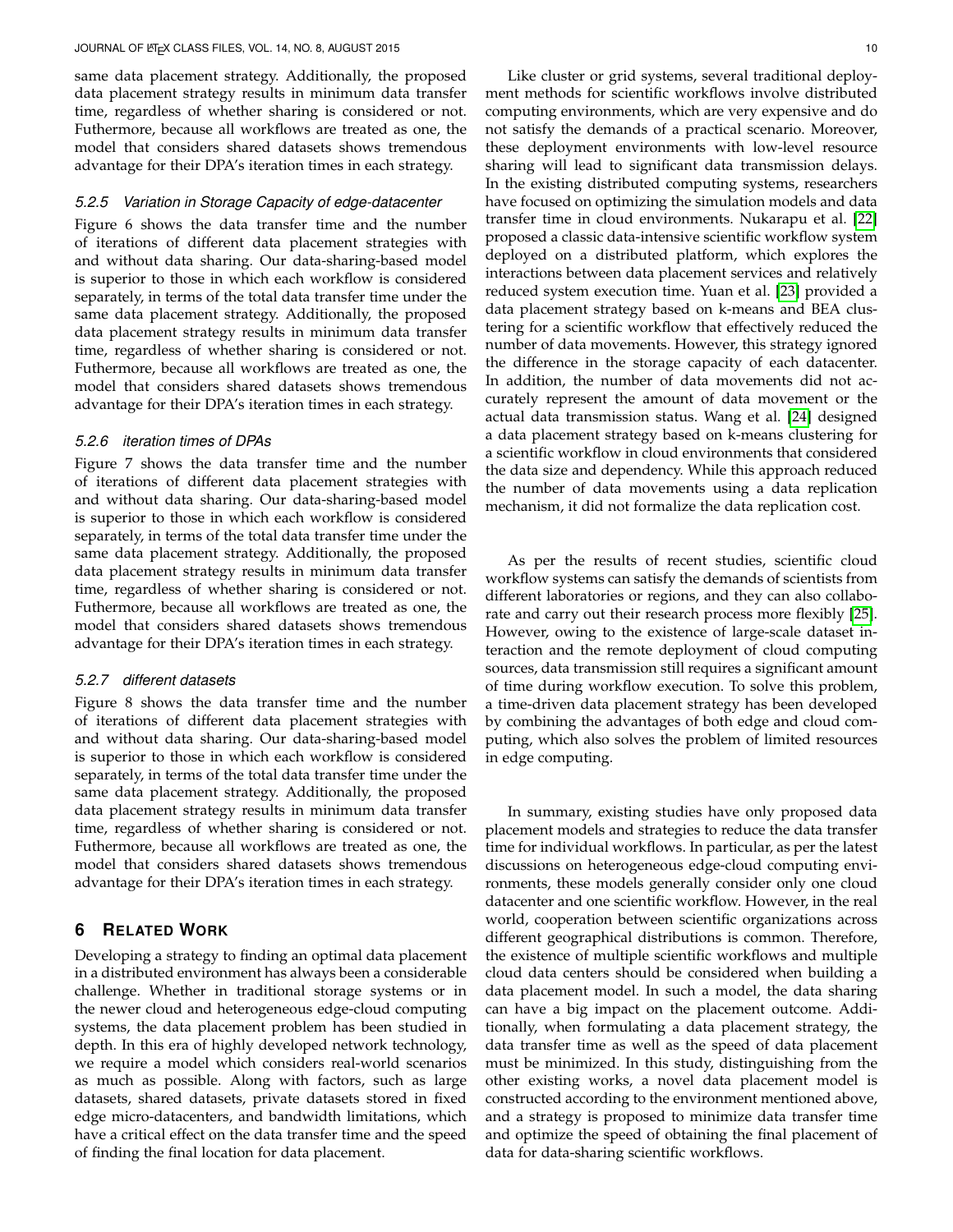same data placement strategy. Additionally, the proposed data placement strategy results in minimum data transfer time, regardless of whether sharing is considered or not. Futhermore, because all workflows are treated as one, the model that considers shared datasets shows tremendous advantage for their DPA's iteration times in each strategy.

#### *5.2.5 Variation in Storage Capacity of edge-datacenter*

Figure 6 shows the data transfer time and the number of iterations of different data placement strategies with and without data sharing. Our data-sharing-based model is superior to those in which each workflow is considered separately, in terms of the total data transfer time under the same data placement strategy. Additionally, the proposed data placement strategy results in minimum data transfer time, regardless of whether sharing is considered or not. Futhermore, because all workflows are treated as one, the model that considers shared datasets shows tremendous advantage for their DPA's iteration times in each strategy.

#### *5.2.6 iteration times of DPAs*

Figure 7 shows the data transfer time and the number of iterations of different data placement strategies with and without data sharing. Our data-sharing-based model is superior to those in which each workflow is considered separately, in terms of the total data transfer time under the same data placement strategy. Additionally, the proposed data placement strategy results in minimum data transfer time, regardless of whether sharing is considered or not. Futhermore, because all workflows are treated as one, the model that considers shared datasets shows tremendous advantage for their DPA's iteration times in each strategy.

#### *5.2.7 different datasets*

Figure 8 shows the data transfer time and the number of iterations of different data placement strategies with and without data sharing. Our data-sharing-based model is superior to those in which each workflow is considered separately, in terms of the total data transfer time under the same data placement strategy. Additionally, the proposed data placement strategy results in minimum data transfer time, regardless of whether sharing is considered or not. Futhermore, because all workflows are treated as one, the model that considers shared datasets shows tremendous advantage for their DPA's iteration times in each strategy.

## **6 RELATED WORK**

Developing a strategy to finding an optimal data placement in a distributed environment has always been a considerable challenge. Whether in traditional storage systems or in the newer cloud and heterogeneous edge-cloud computing systems, the data placement problem has been studied in depth. In this era of highly developed network technology, we require a model which considers real-world scenarios as much as possible. Along with factors, such as large datasets, shared datasets, private datasets stored in fixed edge micro-datacenters, and bandwidth limitations, which have a critical effect on the data transfer time and the speed of finding the final location for data placement.

Like cluster or grid systems, several traditional deployment methods for scientific workflows involve distributed computing environments, which are very expensive and do not satisfy the demands of a practical scenario. Moreover, these deployment environments with low-level resource sharing will lead to significant data transmission delays. In the existing distributed computing systems, researchers have focused on optimizing the simulation models and data transfer time in cloud environments. Nukarapu et al. [\[22\]](#page-10-21) proposed a classic data-intensive scientific workflow system deployed on a distributed platform, which explores the interactions between data placement services and relatively reduced system execution time. Yuan et al. [\[23\]](#page-10-22) provided a data placement strategy based on k-means and BEA clustering for a scientific workflow that effectively reduced the number of data movements. However, this strategy ignored the difference in the storage capacity of each datacenter. In addition, the number of data movements did not accurately represent the amount of data movement or the actual data transmission status. Wang et al. [\[24\]](#page-10-23) designed a data placement strategy based on k-means clustering for a scientific workflow in cloud environments that considered the data size and dependency. While this approach reduced the number of data movements using a data replication mechanism, it did not formalize the data replication cost.

As per the results of recent studies, scientific cloud workflow systems can satisfy the demands of scientists from different laboratories or regions, and they can also collaborate and carry out their research process more flexibly [\[25\]](#page-10-24). However, owing to the existence of large-scale dataset interaction and the remote deployment of cloud computing sources, data transmission still requires a significant amount of time during workflow execution. To solve this problem, a time-driven data placement strategy has been developed by combining the advantages of both edge and cloud computing, which also solves the problem of limited resources in edge computing.

In summary, existing studies have only proposed data placement models and strategies to reduce the data transfer time for individual workflows. In particular, as per the latest discussions on heterogeneous edge-cloud computing environments, these models generally consider only one cloud datacenter and one scientific workflow. However, in the real world, cooperation between scientific organizations across different geographical distributions is common. Therefore, the existence of multiple scientific workflows and multiple cloud data centers should be considered when building a data placement model. In such a model, the data sharing can have a big impact on the placement outcome. Additionally, when formulating a data placement strategy, the data transfer time as well as the speed of data placement must be minimized. In this study, distinguishing from the other existing works, a novel data placement model is constructed according to the environment mentioned above, and a strategy is proposed to minimize data transfer time and optimize the speed of obtaining the final placement of data for data-sharing scientific workflows.